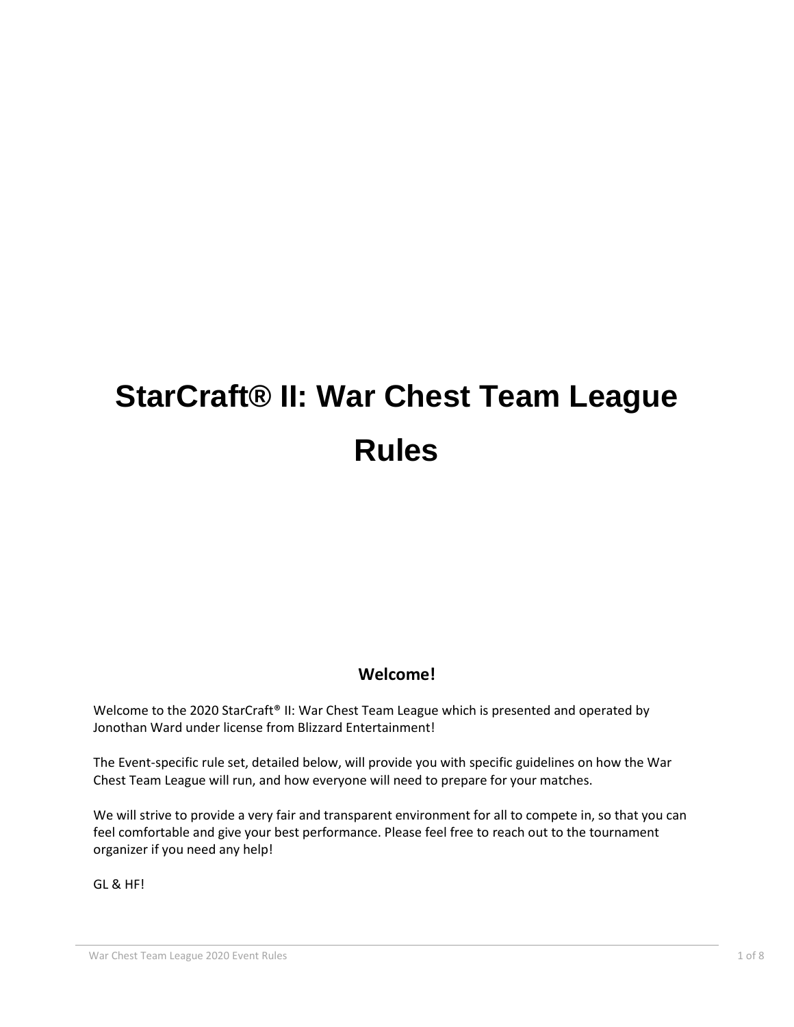# **StarCraft® II: War Chest Team League Rules**

# **Welcome!**

Welcome to the 2020 StarCraft<sup>®</sup> II: War Chest Team League which is presented and operated by Jonothan Ward under license from Blizzard Entertainment!

The Event-specific rule set, detailed below, will provide you with specific guidelines on how the War Chest Team League will run, and how everyone will need to prepare for your matches.

We will strive to provide a very fair and transparent environment for all to compete in, so that you can feel comfortable and give your best performance. Please feel free to reach out to the tournament organizer if you need any help!

GL & HF!

War Chest Team League 2020 Event Rules 1 of 8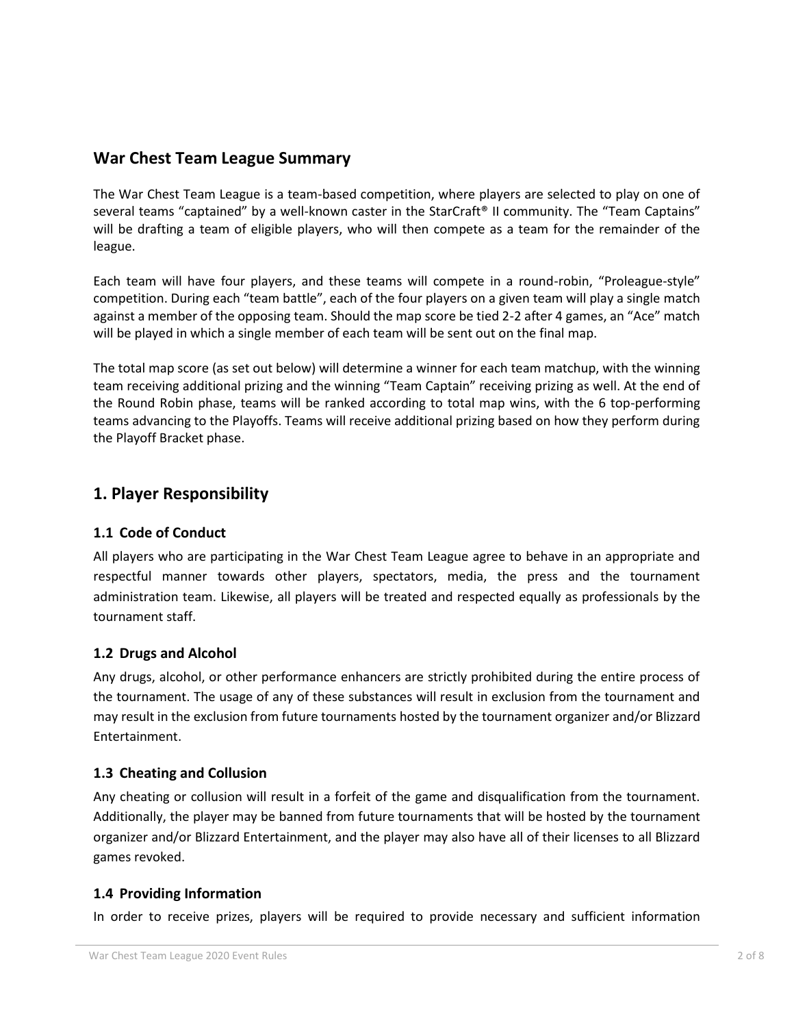## **War Chest Team League Summary**

The War Chest Team League is a team-based competition, where players are selected to play on one of several teams "captained" by a well-known caster in the StarCraft® II community. The "Team Captains" will be drafting a team of eligible players, who will then compete as a team for the remainder of the league.

Each team will have four players, and these teams will compete in a round-robin, "Proleague-style" competition. During each "team battle", each of the four players on a given team will play a single match against a member of the opposing team. Should the map score be tied 2-2 after 4 games, an "Ace" match will be played in which a single member of each team will be sent out on the final map.

The total map score (as set out below) will determine a winner for each team matchup, with the winning team receiving additional prizing and the winning "Team Captain" receiving prizing as well. At the end of the Round Robin phase, teams will be ranked according to total map wins, with the 6 top-performing teams advancing to the Playoffs. Teams will receive additional prizing based on how they perform during the Playoff Bracket phase.

## **1. Player Responsibility**

#### **1.1 Code of Conduct**

All players who are participating in the War Chest Team League agree to behave in an appropriate and respectful manner towards other players, spectators, media, the press and the tournament administration team. Likewise, all players will be treated and respected equally as professionals by the tournament staff.

#### **1.2 Drugs and Alcohol**

Any drugs, alcohol, or other performance enhancers are strictly prohibited during the entire process of the tournament. The usage of any of these substances will result in exclusion from the tournament and may result in the exclusion from future tournaments hosted by the tournament organizer and/or Blizzard Entertainment.

#### **1.3 Cheating and Collusion**

Any cheating or collusion will result in a forfeit of the game and disqualification from the tournament. Additionally, the player may be banned from future tournaments that will be hosted by the tournament organizer and/or Blizzard Entertainment, and the player may also have all of their licenses to all Blizzard games revoked.

#### **1.4 Providing Information**

In order to receive prizes, players will be required to provide necessary and sufficient information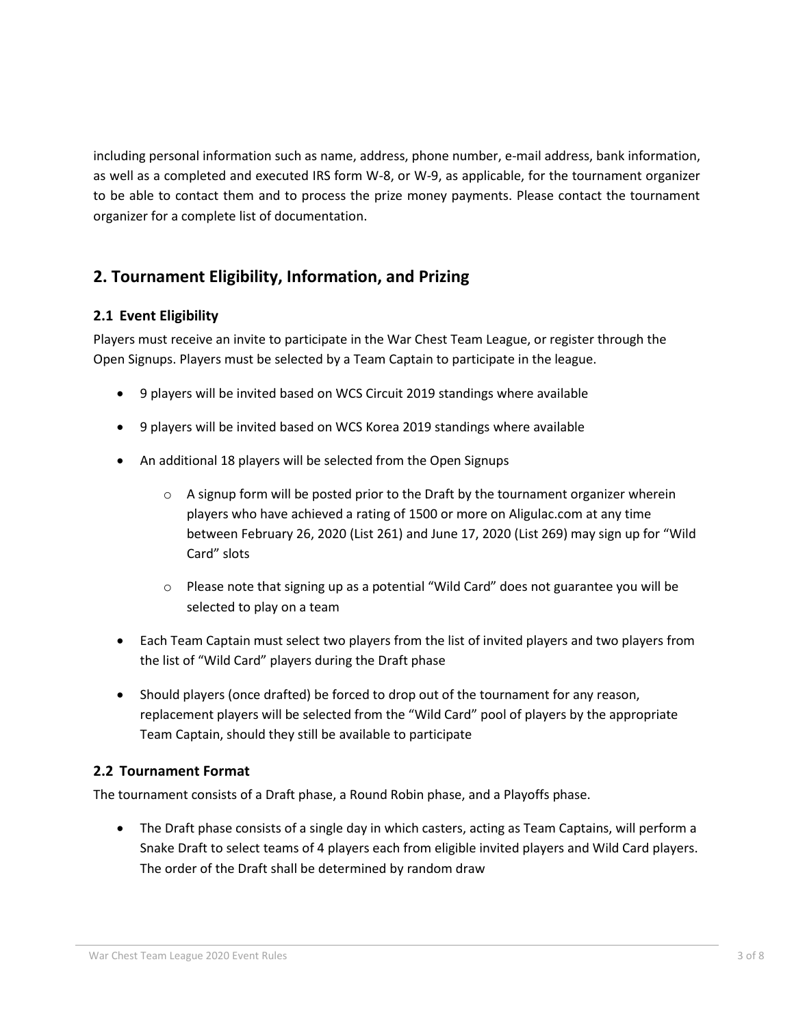including personal information such as name, address, phone number, e-mail address, bank information, as well as a completed and executed IRS form W-8, or W-9, as applicable, for the tournament organizer to be able to contact them and to process the prize money payments. Please contact the tournament organizer for a complete list of documentation.

# **2. Tournament Eligibility, Information, and Prizing**

#### **2.1 Event Eligibility**

Players must receive an invite to participate in the War Chest Team League, or register through the Open Signups. Players must be selected by a Team Captain to participate in the league.

- 9 players will be invited based on WCS Circuit 2019 standings where available
- 9 players will be invited based on WCS Korea 2019 standings where available
- An additional 18 players will be selected from the Open Signups
	- $\circ$  A signup form will be posted prior to the Draft by the tournament organizer wherein players who have achieved a rating of 1500 or more on Aligulac.com at any time between February 26, 2020 (List 261) and June 17, 2020 (List 269) may sign up for "Wild Card" slots
	- $\circ$  Please note that signing up as a potential "Wild Card" does not guarantee you will be selected to play on a team
- Each Team Captain must select two players from the list of invited players and two players from the list of "Wild Card" players during the Draft phase
- Should players (once drafted) be forced to drop out of the tournament for any reason, replacement players will be selected from the "Wild Card" pool of players by the appropriate Team Captain, should they still be available to participate

#### **2.2 Tournament Format**

The tournament consists of a Draft phase, a Round Robin phase, and a Playoffs phase.

• The Draft phase consists of a single day in which casters, acting as Team Captains, will perform a Snake Draft to select teams of 4 players each from eligible invited players and Wild Card players. The order of the Draft shall be determined by random draw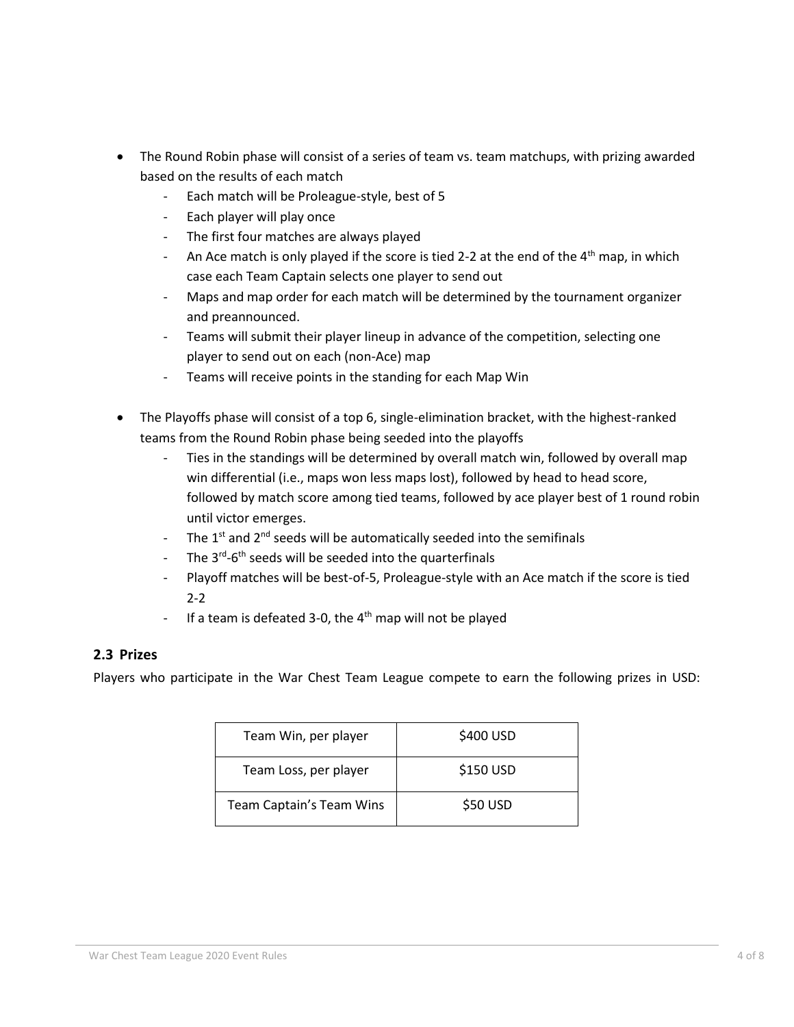- The Round Robin phase will consist of a series of team vs. team matchups, with prizing awarded based on the results of each match
	- Each match will be Proleague-style, best of 5
	- Each player will play once
	- The first four matches are always played
	- An Ace match is only played if the score is tied 2-2 at the end of the 4<sup>th</sup> map, in which case each Team Captain selects one player to send out
	- Maps and map order for each match will be determined by the tournament organizer and preannounced.
	- Teams will submit their player lineup in advance of the competition, selecting one player to send out on each (non-Ace) map
	- Teams will receive points in the standing for each Map Win
- The Playoffs phase will consist of a top 6, single-elimination bracket, with the highest-ranked teams from the Round Robin phase being seeded into the playoffs
	- Ties in the standings will be determined by overall match win, followed by overall map win differential (i.e., maps won less maps lost), followed by head to head score, followed by match score among tied teams, followed by ace player best of 1 round robin until victor emerges.
	- The  $1<sup>st</sup>$  and  $2<sup>nd</sup>$  seeds will be automatically seeded into the semifinals
	- The 3<sup>rd</sup>-6<sup>th</sup> seeds will be seeded into the quarterfinals
	- Playoff matches will be best-of-5, Proleague-style with an Ace match if the score is tied 2-2
	- If a team is defeated 3-0, the  $4<sup>th</sup>$  map will not be played

#### **2.3 Prizes**

Players who participate in the War Chest Team League compete to earn the following prizes in USD:

| Team Win, per player     | \$400 USD |
|--------------------------|-----------|
| Team Loss, per player    | \$150 USD |
| Team Captain's Team Wins | \$50 USD  |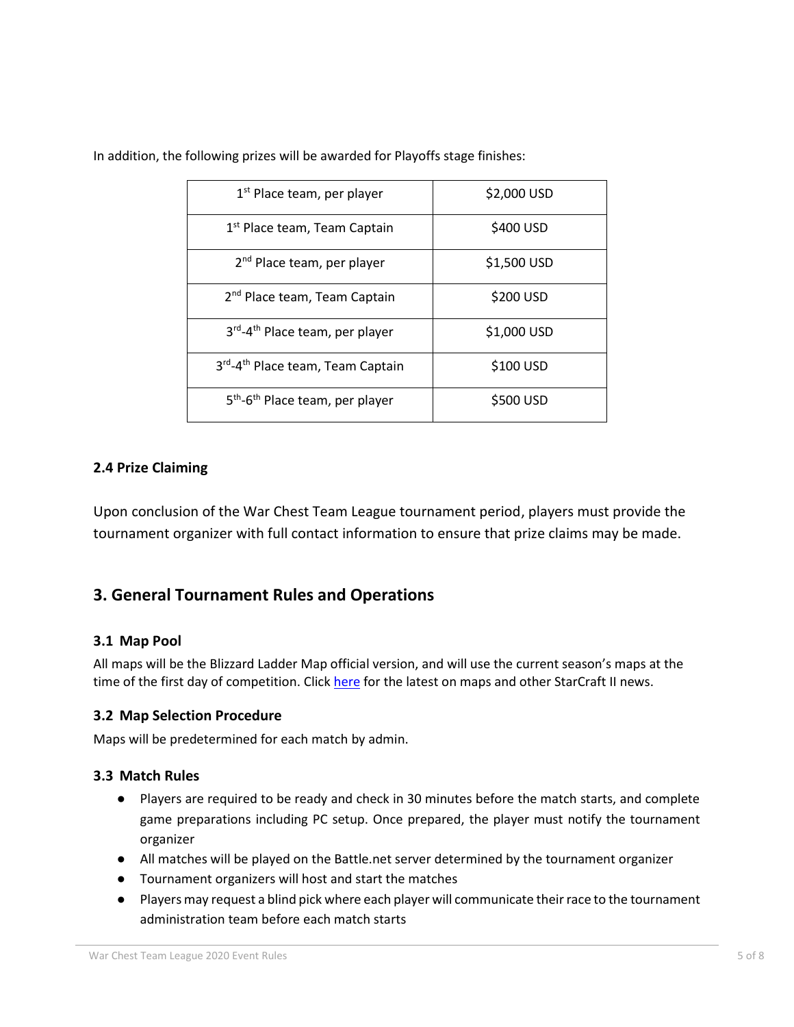| 1 <sup>st</sup> Place team, per player                  | \$2,000 USD |
|---------------------------------------------------------|-------------|
| 1 <sup>st</sup> Place team, Team Captain                | \$400 USD   |
| 2 <sup>nd</sup> Place team, per player                  | \$1,500 USD |
| 2 <sup>nd</sup> Place team, Team Captain                | \$200 USD   |
| 3rd-4 <sup>th</sup> Place team, per player              | \$1,000 USD |
| 3rd-4th Place team, Team Captain                        | \$100 USD   |
| 5 <sup>th</sup> -6 <sup>th</sup> Place team, per player | \$500 USD   |

In addition, the following prizes will be awarded for Playoffs stage finishes:

#### **2.4 Prize Claiming**

Upon conclusion of the War Chest Team League tournament period, players must provide the tournament organizer with full contact information to ensure that prize claims may be made.

### **3. General Tournament Rules and Operations**

#### **3.1 Map Pool**

All maps will be the Blizzard Ladder Map official version, and will use the current season's maps at the time of the first day of competition. Click [here](https://starcraft2.com/en-us/news) for the latest on maps and other StarCraft II news.

#### **3.2 Map Selection Procedure**

Maps will be predetermined for each match by admin.

#### **3.3 Match Rules**

- Players are required to be ready and check in 30 minutes before the match starts, and complete game preparations including PC setup. Once prepared, the player must notify the tournament organizer
- All matches will be played on the Battle.net server determined by the tournament organizer
- Tournament organizers will host and start the matches
- Players may request a blind pick where each player will communicate their race to the tournament administration team before each match starts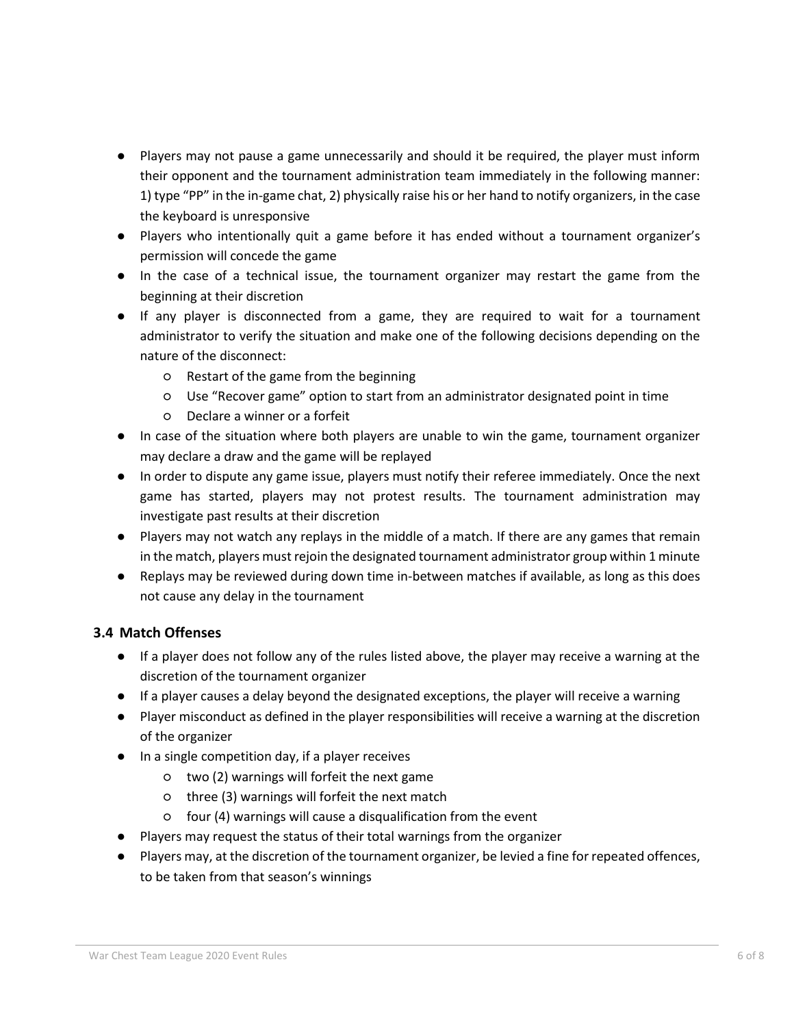- Players may not pause a game unnecessarily and should it be required, the player must inform their opponent and the tournament administration team immediately in the following manner: 1) type "PP" in the in-game chat, 2) physically raise his or her hand to notify organizers, in the case the keyboard is unresponsive
- Players who intentionally quit a game before it has ended without a tournament organizer's permission will concede the game
- In the case of a technical issue, the tournament organizer may restart the game from the beginning at their discretion
- If any player is disconnected from a game, they are required to wait for a tournament administrator to verify the situation and make one of the following decisions depending on the nature of the disconnect:
	- Restart of the game from the beginning
	- Use "Recover game" option to start from an administrator designated point in time
	- Declare a winner or a forfeit
- In case of the situation where both players are unable to win the game, tournament organizer may declare a draw and the game will be replayed
- In order to dispute any game issue, players must notify their referee immediately. Once the next game has started, players may not protest results. The tournament administration may investigate past results at their discretion
- Players may not watch any replays in the middle of a match. If there are any games that remain in the match, players must rejoin the designated tournament administrator group within 1 minute
- Replays may be reviewed during down time in-between matches if available, as long as this does not cause any delay in the tournament

#### **3.4 Match Offenses**

- If a player does not follow any of the rules listed above, the player may receive a warning at the discretion of the tournament organizer
- If a player causes a delay beyond the designated exceptions, the player will receive a warning
- Player misconduct as defined in the player responsibilities will receive a warning at the discretion of the organizer
- In a single competition day, if a player receives
	- two (2) warnings will forfeit the next game
	- three (3) warnings will forfeit the next match
	- four (4) warnings will cause a disqualification from the event
- Players may request the status of their total warnings from the organizer
- Players may, at the discretion of the tournament organizer, be levied a fine for repeated offences, to be taken from that season's winnings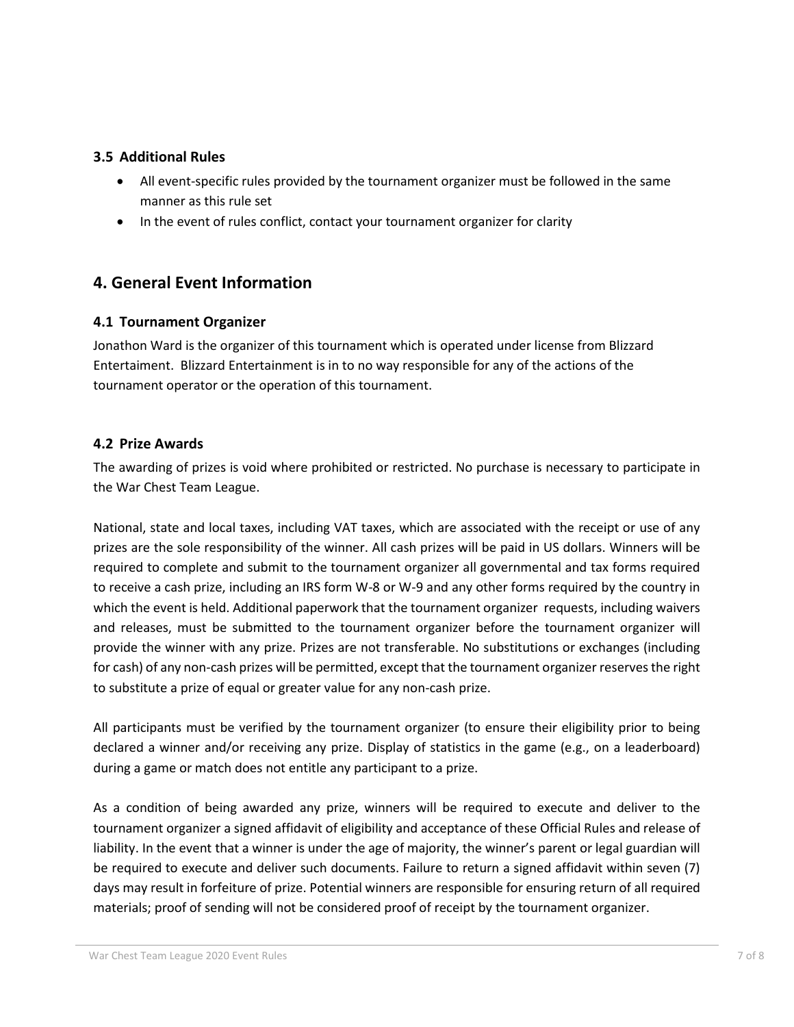#### **3.5 Additional Rules**

- All event-specific rules provided by the tournament organizer must be followed in the same manner as this rule set
- In the event of rules conflict, contact your tournament organizer for clarity

## **4. General Event Information**

#### **4.1 Tournament Organizer**

Jonathon Ward is the organizer of this tournament which is operated under license from Blizzard Entertaiment. Blizzard Entertainment is in to no way responsible for any of the actions of the tournament operator or the operation of this tournament.

#### **4.2 Prize Awards**

The awarding of prizes is void where prohibited or restricted. No purchase is necessary to participate in the War Chest Team League.

National, state and local taxes, including VAT taxes, which are associated with the receipt or use of any prizes are the sole responsibility of the winner. All cash prizes will be paid in US dollars. Winners will be required to complete and submit to the tournament organizer all governmental and tax forms required to receive a cash prize, including an IRS form W-8 or W-9 and any other forms required by the country in which the event is held. Additional paperwork that the tournament organizer requests, including waivers and releases, must be submitted to the tournament organizer before the tournament organizer will provide the winner with any prize. Prizes are not transferable. No substitutions or exchanges (including for cash) of any non-cash prizes will be permitted, except that the tournament organizer reserves the right to substitute a prize of equal or greater value for any non-cash prize.

All participants must be verified by the tournament organizer (to ensure their eligibility prior to being declared a winner and/or receiving any prize. Display of statistics in the game (e.g., on a leaderboard) during a game or match does not entitle any participant to a prize.

As a condition of being awarded any prize, winners will be required to execute and deliver to the tournament organizer a signed affidavit of eligibility and acceptance of these Official Rules and release of liability. In the event that a winner is under the age of majority, the winner's parent or legal guardian will be required to execute and deliver such documents. Failure to return a signed affidavit within seven (7) days may result in forfeiture of prize. Potential winners are responsible for ensuring return of all required materials; proof of sending will not be considered proof of receipt by the tournament organizer.